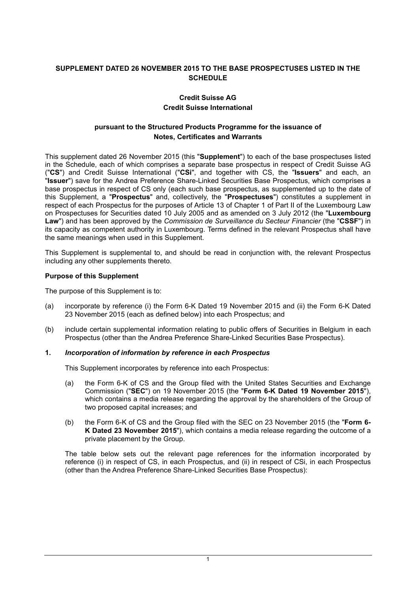# **SUPPLEMENT DATED 26 NOVEMBER 2015 TO THE BASE PROSPECTUSES LISTED IN THE SCHEDULE**

## **Credit Suisse AG Credit Suisse International**

## **pursuant to the Structured Products Programme for the issuance of Notes, Certificates and Warrants**

This supplement dated 26 November 2015 (this "**Supplement**") to each of the base prospectuses listed in the Schedule, each of which comprises a separate base prospectus in respect of Credit Suisse AG ("**CS**") and Credit Suisse International ("**CSi**", and together with CS, the "**Issuers**" and each, an "**Issuer**") save for the Andrea Preference Share-Linked Securities Base Prospectus, which comprises a base prospectus in respect of CS only (each such base prospectus, as supplemented up to the date of this Supplement, a "**Prospectus**" and, collectively, the "**Prospectuses**") constitutes a supplement in respect of each Prospectus for the purposes of Article 13 of Chapter 1 of Part II of the Luxembourg Law on Prospectuses for Securities dated 10 July 2005 and as amended on 3 July 2012 (the "**Luxembourg Law**") and has been approved by the *Commission de Surveillance du Secteur Financier* (the "**CSSF**") in its capacity as competent authority in Luxembourg. Terms defined in the relevant Prospectus shall have the same meanings when used in this Supplement.

This Supplement is supplemental to, and should be read in conjunction with, the relevant Prospectus including any other supplements thereto.

### **Purpose of this Supplement**

The purpose of this Supplement is to:

- (a) incorporate by reference (i) the Form 6-K Dated 19 November 2015 and (ii) the Form 6-K Dated 23 November 2015 (each as defined below) into each Prospectus; and
- (b) include certain supplemental information relating to public offers of Securities in Belgium in each Prospectus (other than the Andrea Preference Share-Linked Securities Base Prospectus).
- **1.** *Incorporation of information by reference in each Prospectus*

This Supplement incorporates by reference into each Prospectus:

- (a) the Form 6-K of CS and the Group filed with the United States Securities and Exchange Commission ("**SEC**") on 19 November 2015 (the "**Form 6-K Dated 19 November 2015**"), which contains a media release regarding the approval by the shareholders of the Group of two proposed capital increases; and
- (b) the Form 6-K of CS and the Group filed with the SEC on 23 November 2015 (the "**Form 6- K Dated 23 November 2015**"), which contains a media release regarding the outcome of a private placement by the Group.

The table below sets out the relevant page references for the information incorporated by reference (i) in respect of CS, in each Prospectus, and (ii) in respect of CSi, in each Prospectus (other than the Andrea Preference Share-Linked Securities Base Prospectus):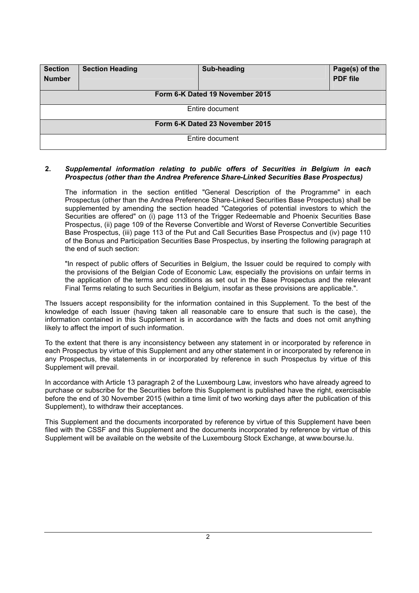| <b>Section</b><br><b>Number</b> | <b>Section Heading</b> | Sub-heading | Page(s) of the<br><b>PDF</b> file |
|---------------------------------|------------------------|-------------|-----------------------------------|
| Form 6-K Dated 19 November 2015 |                        |             |                                   |
| Entire document                 |                        |             |                                   |
| Form 6-K Dated 23 November 2015 |                        |             |                                   |
| Entire document                 |                        |             |                                   |

#### **2.** *Supplemental information relating to public offers of Securities in Belgium in each Prospectus (other than the Andrea Preference Share-Linked Securities Base Prospectus)*

The information in the section entitled "General Description of the Programme" in each Prospectus (other than the Andrea Preference Share-Linked Securities Base Prospectus) shall be supplemented by amending the section headed "Categories of potential investors to which the Securities are offered" on (i) page 113 of the Trigger Redeemable and Phoenix Securities Base Prospectus, (ii) page 109 of the Reverse Convertible and Worst of Reverse Convertible Securities Base Prospectus, (iii) page 113 of the Put and Call Securities Base Prospectus and (iv) page 110 of the Bonus and Participation Securities Base Prospectus, by inserting the following paragraph at the end of such section:

"In respect of public offers of Securities in Belgium, the Issuer could be required to comply with the provisions of the Belgian Code of Economic Law, especially the provisions on unfair terms in the application of the terms and conditions as set out in the Base Prospectus and the relevant Final Terms relating to such Securities in Belgium, insofar as these provisions are applicable.".

The Issuers accept responsibility for the information contained in this Supplement. To the best of the knowledge of each Issuer (having taken all reasonable care to ensure that such is the case), the information contained in this Supplement is in accordance with the facts and does not omit anything likely to affect the import of such information.

To the extent that there is any inconsistency between any statement in or incorporated by reference in each Prospectus by virtue of this Supplement and any other statement in or incorporated by reference in any Prospectus, the statements in or incorporated by reference in such Prospectus by virtue of this Supplement will prevail.

In accordance with Article 13 paragraph 2 of the Luxembourg Law, investors who have already agreed to purchase or subscribe for the Securities before this Supplement is published have the right, exercisable before the end of 30 November 2015 (within a time limit of two working days after the publication of this Supplement), to withdraw their acceptances.

This Supplement and the documents incorporated by reference by virtue of this Supplement have been filed with the CSSF and this Supplement and the documents incorporated by reference by virtue of this Supplement will be available on the website of the Luxembourg Stock Exchange, at [www.bourse.lu.](http://www.bourse.lu/)